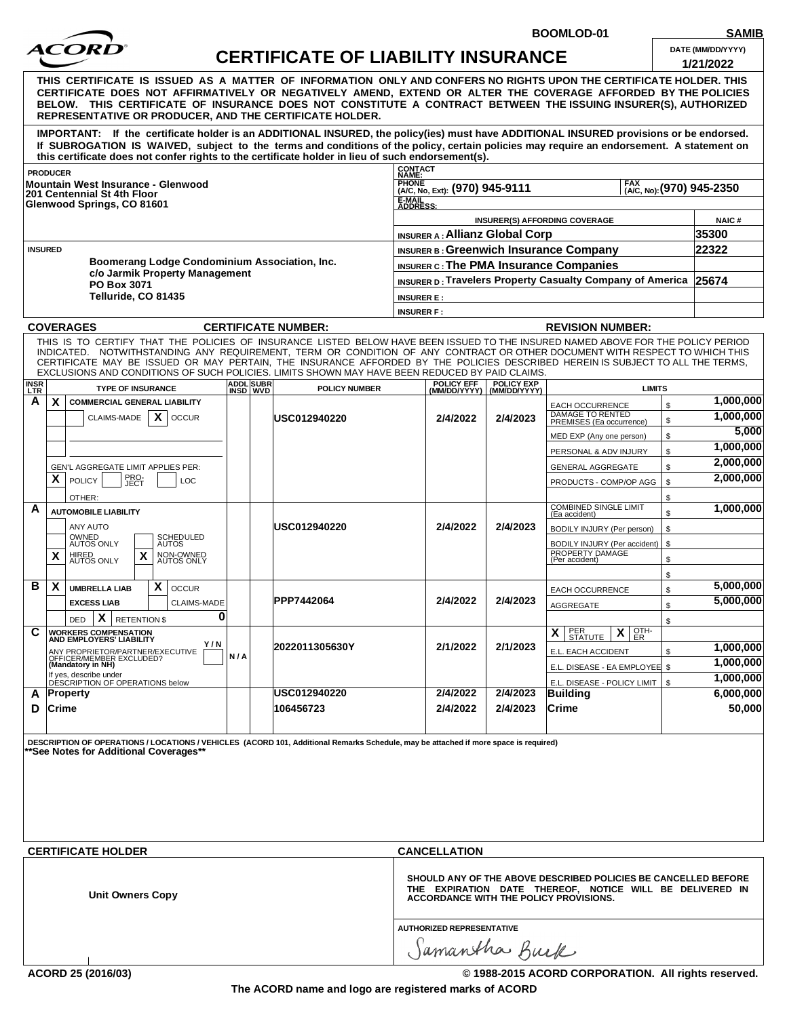

**CERTIFICATE OF LIABILITY INSURANCE DATE (MM/DD/YYYY)** 

BOOMLOD-01

| SAMIB |
|-------|
|       |

| <u>CERTIFICATE OF LIABILITY INSURANCE</u> |                                                                                   |                                                           |                                               |                | 1/21/2022                           |                                                                                                                                                                                                                                                                                                                                                                                                                                                                                                    |                                   |                                                                                                                                |                                                                   |           |                           |
|-------------------------------------------|-----------------------------------------------------------------------------------|-----------------------------------------------------------|-----------------------------------------------|----------------|-------------------------------------|----------------------------------------------------------------------------------------------------------------------------------------------------------------------------------------------------------------------------------------------------------------------------------------------------------------------------------------------------------------------------------------------------------------------------------------------------------------------------------------------------|-----------------------------------|--------------------------------------------------------------------------------------------------------------------------------|-------------------------------------------------------------------|-----------|---------------------------|
|                                           |                                                                                   |                                                           |                                               |                |                                     | THIS CERTIFICATE IS ISSUED AS A MATTER OF INFORMATION ONLY AND CONFERS NO RIGHTS UPON THE CERTIFICATE HOLDER. THIS<br>CERTIFICATE DOES NOT AFFIRMATIVELY OR NEGATIVELY AMEND, EXTEND OR ALTER THE COVERAGE AFFORDED BY THE POLICIES<br>BELOW. THIS CERTIFICATE OF INSURANCE DOES NOT CONSTITUTE A CONTRACT BETWEEN THE ISSUING INSURER(S), AUTHORIZED<br>REPRESENTATIVE OR PRODUCER, AND THE CERTIFICATE HOLDER.                                                                                   |                                   |                                                                                                                                |                                                                   |           |                           |
|                                           |                                                                                   |                                                           |                                               |                |                                     | IMPORTANT: If the certificate holder is an ADDITIONAL INSURED, the policy(ies) must have ADDITIONAL INSURED provisions or be endorsed.<br>If SUBROGATION IS WAIVED, subject to the terms and conditions of the policy, certain policies may require an endorsement. A statement on<br>this certificate does not confer rights to the certificate holder in lieu of such endorsement(s).                                                                                                            |                                   |                                                                                                                                |                                                                   |           |                           |
| <b>PRODUCER</b>                           |                                                                                   |                                                           |                                               |                |                                     | CONTACT<br>NAME:                                                                                                                                                                                                                                                                                                                                                                                                                                                                                   |                                   |                                                                                                                                |                                                                   |           |                           |
|                                           |                                                                                   | <b>Mountain West Insurance - Glenwood</b>                 |                                               |                |                                     | <b>PHONE</b>                                                                                                                                                                                                                                                                                                                                                                                                                                                                                       | (A/C, No, Ext): (970) 945-9111    |                                                                                                                                | <b>FAX</b>                                                        |           | (A/C, No): (970) 945-2350 |
|                                           |                                                                                   | 201 Centennial St 4th Floor<br>Glenwood Springs, CO 81601 |                                               |                |                                     | E-MAIL<br>ADDRESS:                                                                                                                                                                                                                                                                                                                                                                                                                                                                                 |                                   |                                                                                                                                |                                                                   |           |                           |
|                                           |                                                                                   |                                                           |                                               |                |                                     |                                                                                                                                                                                                                                                                                                                                                                                                                                                                                                    |                                   |                                                                                                                                | INSURER(S) AFFORDING COVERAGE                                     |           | <b>NAIC#</b>              |
|                                           |                                                                                   |                                                           |                                               |                |                                     |                                                                                                                                                                                                                                                                                                                                                                                                                                                                                                    | INSURER A: Allianz Global Corp    |                                                                                                                                |                                                                   |           | 35300                     |
| <b>INSURED</b>                            |                                                                                   |                                                           |                                               |                |                                     |                                                                                                                                                                                                                                                                                                                                                                                                                                                                                                    |                                   |                                                                                                                                | <b>INSURER B: Greenwich Insurance Company</b>                     |           | 22322                     |
|                                           |                                                                                   |                                                           | Boomerang Lodge Condominium Association, Inc. |                |                                     |                                                                                                                                                                                                                                                                                                                                                                                                                                                                                                    |                                   |                                                                                                                                | <b>INSURER C: The PMA Insurance Companies</b>                     |           |                           |
|                                           |                                                                                   | PO Box 3071                                               | c/o Jarmik Property Management                |                |                                     |                                                                                                                                                                                                                                                                                                                                                                                                                                                                                                    |                                   |                                                                                                                                | INSURER D: Travelers Property Casualty Company of America 25674   |           |                           |
|                                           |                                                                                   | Telluride, CO 81435                                       |                                               |                |                                     | <b>INSURER E:</b>                                                                                                                                                                                                                                                                                                                                                                                                                                                                                  |                                   |                                                                                                                                |                                                                   |           |                           |
|                                           |                                                                                   |                                                           |                                               |                |                                     | <b>INSURER F:</b>                                                                                                                                                                                                                                                                                                                                                                                                                                                                                  |                                   |                                                                                                                                |                                                                   |           |                           |
|                                           |                                                                                   | <b>COVERAGES</b>                                          |                                               |                |                                     | <b>CERTIFICATE NUMBER:</b>                                                                                                                                                                                                                                                                                                                                                                                                                                                                         |                                   |                                                                                                                                | <b>REVISION NUMBER:</b>                                           |           |                           |
|                                           |                                                                                   |                                                           |                                               |                |                                     | THIS IS TO CERTIFY THAT THE POLICIES OF INSURANCE LISTED BELOW HAVE BEEN ISSUED TO THE INSURED NAMED ABOVE FOR THE POLICY PERIOD<br>INDICATED. NOTWITHSTANDING ANY REQUIREMENT, TERM OR CONDITION OF ANY CONTRACT OR OTHER DOCUMENT WITH RESPECT TO WHICH THIS<br>CERTIFICATE MAY BE ISSUED OR MAY PERTAIN, THE INSURANCE AFFORDED BY THE POLICIES DESCRIBED HEREIN IS SUBJECT TO ALL THE TERMS,<br>EXCLUSIONS AND CONDITIONS OF SUCH POLICIES. LIMITS SHOWN MAY HAVE BEEN REDUCED BY PAID CLAIMS. |                                   |                                                                                                                                |                                                                   |           |                           |
| <b>INSR</b><br><b>LTR</b>                 |                                                                                   | <b>TYPE OF INSURANCE</b>                                  |                                               |                | <b>ADDL SUBR</b><br><b>INSD WVD</b> | <b>POLICY NUMBER</b>                                                                                                                                                                                                                                                                                                                                                                                                                                                                               | <b>POLICY EFF</b><br>(MM/DD/YYYY) | <b>POLICY EXP</b><br>(MM/DD/YYYY)                                                                                              | <b>LIMITS</b>                                                     |           |                           |
| A                                         | $\mathsf{x}$                                                                      | <b>COMMERCIAL GENERAL LIABILITY</b>                       |                                               |                |                                     |                                                                                                                                                                                                                                                                                                                                                                                                                                                                                                    |                                   |                                                                                                                                | <b>EACH OCCURRENCE</b>                                            | \$        | 1,000,000                 |
|                                           |                                                                                   | CLAIMS-MADE                                               | $\mathsf{X}$   OCCUR                          |                |                                     | USC012940220                                                                                                                                                                                                                                                                                                                                                                                                                                                                                       | 2/4/2022                          | 2/4/2023                                                                                                                       | DAMAGE TO RENTED<br>PREMISES (Ea occurrence)                      | \$        | 1,000,000                 |
|                                           |                                                                                   |                                                           |                                               |                |                                     |                                                                                                                                                                                                                                                                                                                                                                                                                                                                                                    |                                   |                                                                                                                                | MED EXP (Any one person)                                          | \$        | 5,000                     |
|                                           |                                                                                   |                                                           |                                               |                |                                     |                                                                                                                                                                                                                                                                                                                                                                                                                                                                                                    |                                   | PERSONAL & ADV INJURY                                                                                                          | \$                                                                | 1,000,000 |                           |
|                                           |                                                                                   | GEN'L AGGREGATE LIMIT APPLIES PER:                        |                                               |                |                                     |                                                                                                                                                                                                                                                                                                                                                                                                                                                                                                    |                                   |                                                                                                                                | <b>GENERAL AGGREGATE</b>                                          | \$        | 2,000,000                 |
|                                           | $\mathsf{x}$                                                                      | PRO-<br>JECT<br><b>POLICY</b>                             | LOC                                           |                |                                     |                                                                                                                                                                                                                                                                                                                                                                                                                                                                                                    |                                   |                                                                                                                                | PRODUCTS - COMP/OP AGG                                            | \$        | 2,000,000                 |
|                                           |                                                                                   | OTHER:                                                    |                                               |                |                                     |                                                                                                                                                                                                                                                                                                                                                                                                                                                                                                    |                                   |                                                                                                                                |                                                                   | \$        |                           |
| A                                         |                                                                                   | <b>AUTOMOBILE LIABILITY</b>                               |                                               |                |                                     |                                                                                                                                                                                                                                                                                                                                                                                                                                                                                                    |                                   |                                                                                                                                | <b>COMBINED SINGLE LIMIT</b><br>(Ea accident)                     | \$        | 1,000,000                 |
|                                           |                                                                                   | ANY AUTO                                                  |                                               |                |                                     | USC012940220                                                                                                                                                                                                                                                                                                                                                                                                                                                                                       | 2/4/2022                          | 2/4/2023                                                                                                                       | BODILY INJURY (Per person)                                        | \$        |                           |
|                                           | X                                                                                 | OWNED<br>AUTOS ONLY<br>X                                  | SCHEDULED<br>AUTOS                            |                |                                     |                                                                                                                                                                                                                                                                                                                                                                                                                                                                                                    |                                   |                                                                                                                                | BODILY INJURY (Per accident)<br>PROPERTY DAMAGE<br>(Per accident) | \$        |                           |
|                                           |                                                                                   | HIRED<br>AUTOS ONLY                                       | NON-OWNED<br>AUTOS ONLY                       |                |                                     |                                                                                                                                                                                                                                                                                                                                                                                                                                                                                                    |                                   |                                                                                                                                |                                                                   | \$        |                           |
| в                                         |                                                                                   |                                                           |                                               |                |                                     |                                                                                                                                                                                                                                                                                                                                                                                                                                                                                                    |                                   |                                                                                                                                |                                                                   | \$        | 5,000,000                 |
|                                           | X                                                                                 | <b>UMBRELLA LIAB</b>                                      | X<br><b>OCCUR</b>                             |                |                                     | PPP7442064                                                                                                                                                                                                                                                                                                                                                                                                                                                                                         | 2/4/2022                          | 2/4/2023                                                                                                                       | <b>EACH OCCURRENCE</b>                                            | \$        | 5,000,000                 |
|                                           |                                                                                   | <b>EXCESS LIAB</b>                                        | <b>CLAIMS-MADE</b><br>0                       |                |                                     |                                                                                                                                                                                                                                                                                                                                                                                                                                                                                                    |                                   |                                                                                                                                | AGGREGATE                                                         | \$        |                           |
| C                                         |                                                                                   | $X$ RETENTION \$<br><b>DED</b>                            |                                               |                |                                     |                                                                                                                                                                                                                                                                                                                                                                                                                                                                                                    |                                   |                                                                                                                                |                                                                   | \$        |                           |
|                                           | <b>WORKERS COMPENSATION</b><br>AND EMPLOYERS' LIABILITY<br>Y / N                  |                                                           |                                               | 2022011305630Y |                                     | 2/1/2022                                                                                                                                                                                                                                                                                                                                                                                                                                                                                           | 2/1/2023                          | $\mathsf{X}$ $\left  \begin{array}{c} \text{PER} \\ \text{STATE} \end{array} \right $<br>$X$ $\overline{\text{C}^{\text{TH-}}$ |                                                                   | 1,000,000 |                           |
|                                           | ANY PROPRIETOR/PARTNER/EXECUTIVE<br>OFFICER/MEMBER EXCLUDED?<br>(Mandatory in NH) |                                                           |                                               |                | N/A                                 |                                                                                                                                                                                                                                                                                                                                                                                                                                                                                                    |                                   |                                                                                                                                | E.L. EACH ACCIDENT                                                | \$        | 1,000,000                 |
|                                           |                                                                                   | If yes, describe under                                    |                                               |                |                                     |                                                                                                                                                                                                                                                                                                                                                                                                                                                                                                    |                                   |                                                                                                                                | E.L. DISEASE - EA EMPLOYEE \$                                     |           | 1,000,000                 |
|                                           |                                                                                   | DÉSCRIPTION OF OPERATIONS below                           |                                               |                |                                     |                                                                                                                                                                                                                                                                                                                                                                                                                                                                                                    | 2/4/2022                          | 2/4/2023                                                                                                                       | E.L. DISEASE - POLICY LIMIT                                       | \$        | 6,000,000                 |
|                                           |                                                                                   |                                                           | <b>Property</b><br>$ C$ rime<br>D             |                | <b>USC012940220</b><br>106456723    |                                                                                                                                                                                                                                                                                                                                                                                                                                                                                                    | 2/4/2022<br>2/4/2023              | Building<br>Crime                                                                                                              |                                                                   |           |                           |
| A                                         |                                                                                   |                                                           |                                               |                |                                     |                                                                                                                                                                                                                                                                                                                                                                                                                                                                                                    |                                   |                                                                                                                                |                                                                   |           | 50,000                    |

| <b>CERTIFICATE HOLDER</b> | <b>CANCELLATION</b>                                                                                                                                                  |
|---------------------------|----------------------------------------------------------------------------------------------------------------------------------------------------------------------|
| Unit Owners Copy          | SHOULD ANY OF THE ABOVE DESCRIBED POLICIES BE CANCELLED BEFORE<br>THE EXPIRATION DATE THEREOF, NOTICE WILL BE DELIVERED IN<br>ACCORDANCE WITH THE POLICY PROVISIONS. |
|                           | <b>AUTHORIZED REPRESENTATIVE</b>                                                                                                                                     |
|                           | Samantha Burk                                                                                                                                                        |

**ACORD 25 (2016/03) © 1988-2015 ACORD CORPORATION. All rights reserved.**